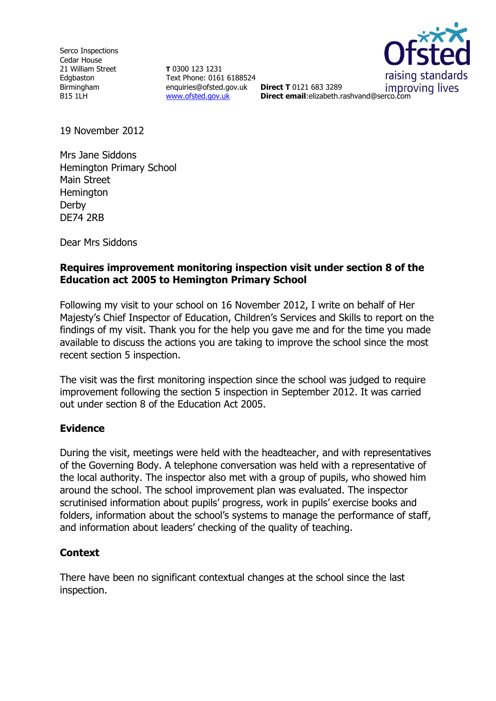Serco Inspections Cedar House 21 William Street Edgbaston Birmingham B15 1LH

**T** 0300 123 1231 Text Phone: 0161 6188524 enquiries@ofsted.gov.uk **Direct T** 0121 683 3289 [www.ofsted.gov.uk](http://www.ofsted.gov.uk/)



*improving lives* **Direct email**:elizabeth.rashvand@serco.com

19 November 2012

Mrs Jane Siddons Hemington Primary School Main Street **Hemington** Derby DE74 2RB

Dear Mrs Siddons

### **Requires improvement monitoring inspection visit under section 8 of the Education act 2005 to Hemington Primary School**

Following my visit to your school on 16 November 2012, I write on behalf of Her Majesty's Chief Inspector of Education, Children's Services and Skills to report on the findings of my visit. Thank you for the help you gave me and for the time you made available to discuss the actions you are taking to improve the school since the most recent section 5 inspection.

The visit was the first monitoring inspection since the school was judged to require improvement following the section 5 inspection in September 2012. It was carried out under section 8 of the Education Act 2005.

### **Evidence**

During the visit, meetings were held with the headteacher, and with representatives of the Governing Body. A telephone conversation was held with a representative of the local authority. The inspector also met with a group of pupils, who showed him around the school. The school improvement plan was evaluated. The inspector scrutinised information about pupils' progress, work in pupils' exercise books and folders, information about the school's systems to manage the performance of staff, and information about leaders' checking of the quality of teaching.

# **Context**

There have been no significant contextual changes at the school since the last inspection.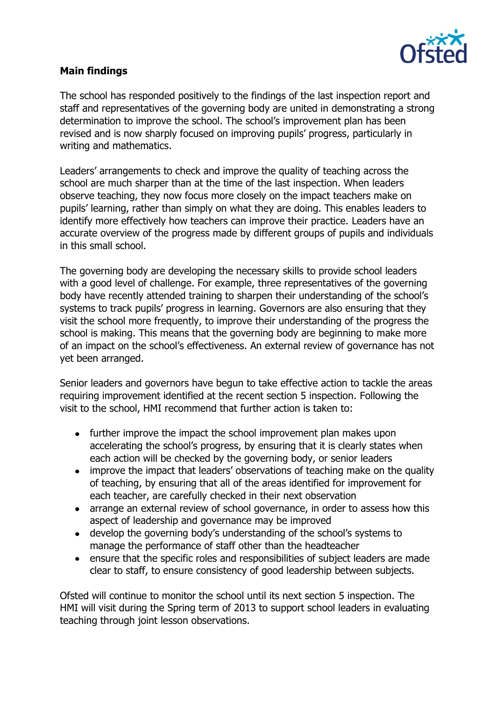

## **Main findings**

The school has responded positively to the findings of the last inspection report and staff and representatives of the governing body are united in demonstrating a strong determination to improve the school. The school's improvement plan has been revised and is now sharply focused on improving pupils' progress, particularly in writing and mathematics.

Leaders' arrangements to check and improve the quality of teaching across the school are much sharper than at the time of the last inspection. When leaders observe teaching, they now focus more closely on the impact teachers make on pupils' learning, rather than simply on what they are doing. This enables leaders to identify more effectively how teachers can improve their practice. Leaders have an accurate overview of the progress made by different groups of pupils and individuals in this small school.

The governing body are developing the necessary skills to provide school leaders with a good level of challenge. For example, three representatives of the governing body have recently attended training to sharpen their understanding of the school's systems to track pupils' progress in learning. Governors are also ensuring that they visit the school more frequently, to improve their understanding of the progress the school is making. This means that the governing body are beginning to make more of an impact on the school's effectiveness. An external review of governance has not yet been arranged.

Senior leaders and governors have begun to take effective action to tackle the areas requiring improvement identified at the recent section 5 inspection. Following the visit to the school, HMI recommend that further action is taken to:

- further improve the impact the school improvement plan makes upon accelerating the school's progress, by ensuring that it is clearly states when each action will be checked by the governing body, or senior leaders
- improve the impact that leaders' observations of teaching make on the quality of teaching, by ensuring that all of the areas identified for improvement for each teacher, are carefully checked in their next observation
- arrange an external review of school governance, in order to assess how this aspect of leadership and governance may be improved
- develop the governing body's understanding of the school's systems to manage the performance of staff other than the headteacher
- ensure that the specific roles and responsibilities of subject leaders are made  $\bullet$ clear to staff, to ensure consistency of good leadership between subjects.

Ofsted will continue to monitor the school until its next section 5 inspection. The HMI will visit during the Spring term of 2013 to support school leaders in evaluating teaching through joint lesson observations.